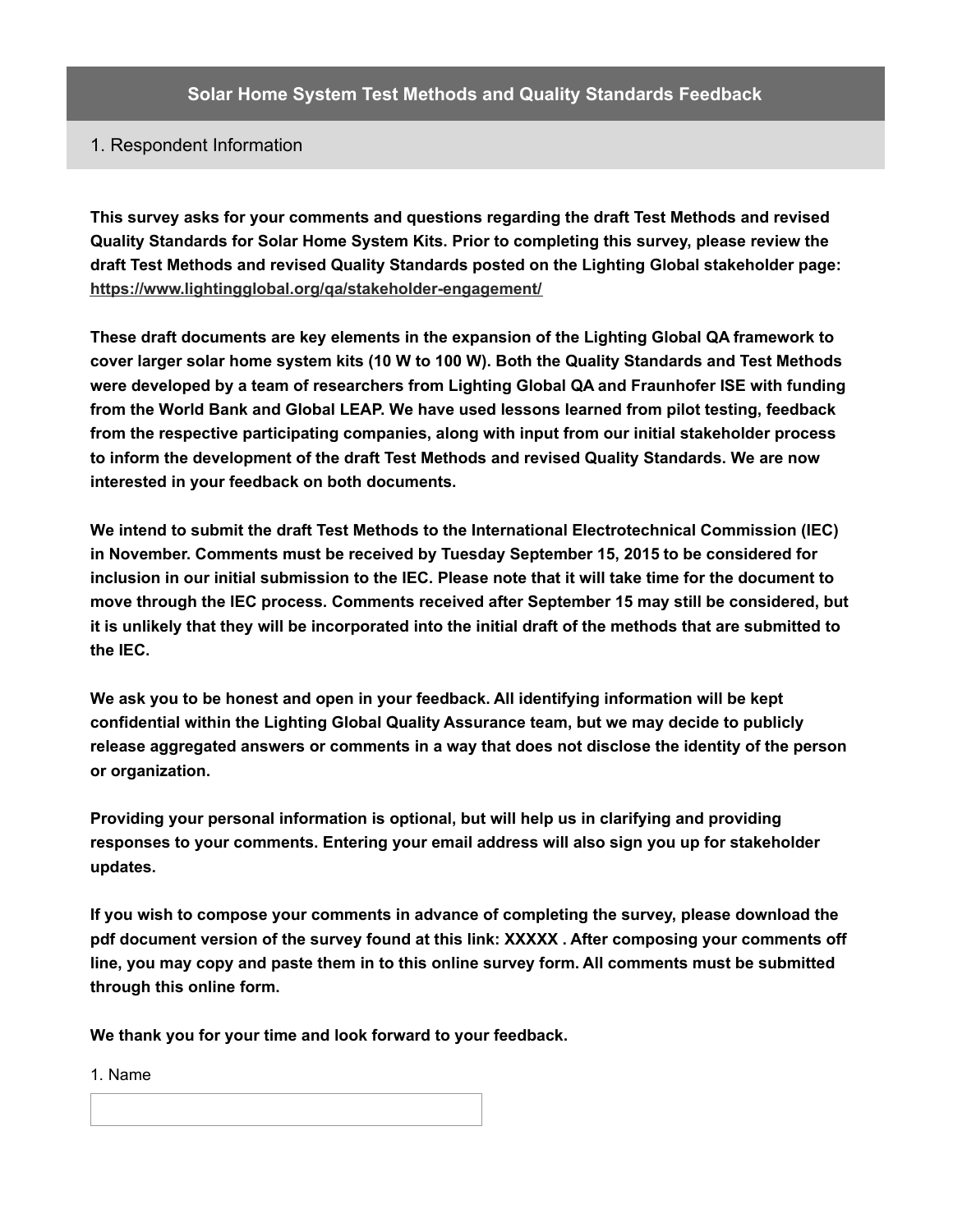# 1. Respondent Information

**This survey asks for your comments and questions regarding the draft Test Methods and revised Quality Standards for Solar Home System Kits. Prior to completing this survey, please review the draft Test Methods and revised Quality Standards posted on the Lighting Global stakeholder page: <https://www.lightingglobal.org/qa/stakeholder-engagement/>**

**These draft documents are key elements in the expansion of the Lighting Global QA framework to cover larger solar home system kits (10 W to 100 W). Both the Quality Standards and Test Methods were developed by a team of researchers from Lighting Global QA and Fraunhofer ISE with funding from the World Bank and Global LEAP. We have used lessons learned from pilot testing, feedback from the respective participating companies, along with input from our initial stakeholder process to inform the development of the draft Test Methods and revised Quality Standards. We are now interested in your feedback on both documents.**

**We intend to submit the draft Test Methods to the International Electrotechnical Commission (IEC) in November. Comments must be received by Tuesday September 15, 2015 to be considered for** inclusion in our initial submission to the IEC. Please note that it will take time for the document to **move through the IEC process. Comments received after September 15 may still be considered, but** it is unlikely that they will be incorporated into the initial draft of the methods that are submitted to **the IEC.**

**We ask you to be honest and open in your feedback. All identifying information will be kept confidential within the Lighting Global Quality Assurance team, but we may decide to publicly release aggregated answers or comments in a way that does not disclose the identity of the person or organization.**

**Providing your personal information is optional, but will help us in clarifying and providing responses to your comments. Entering your email address will also sign you up for stakeholder updates.**

**If you wish to compose your comments in advance of completing the survey, please download the pdf document version of the survey found at this link: XXXXX . After composing your comments off line, you may copy and paste them in to this online survey form. All comments must be submitted through this online form.**

**We thank you for your time and look forward to your feedback.**

1. Name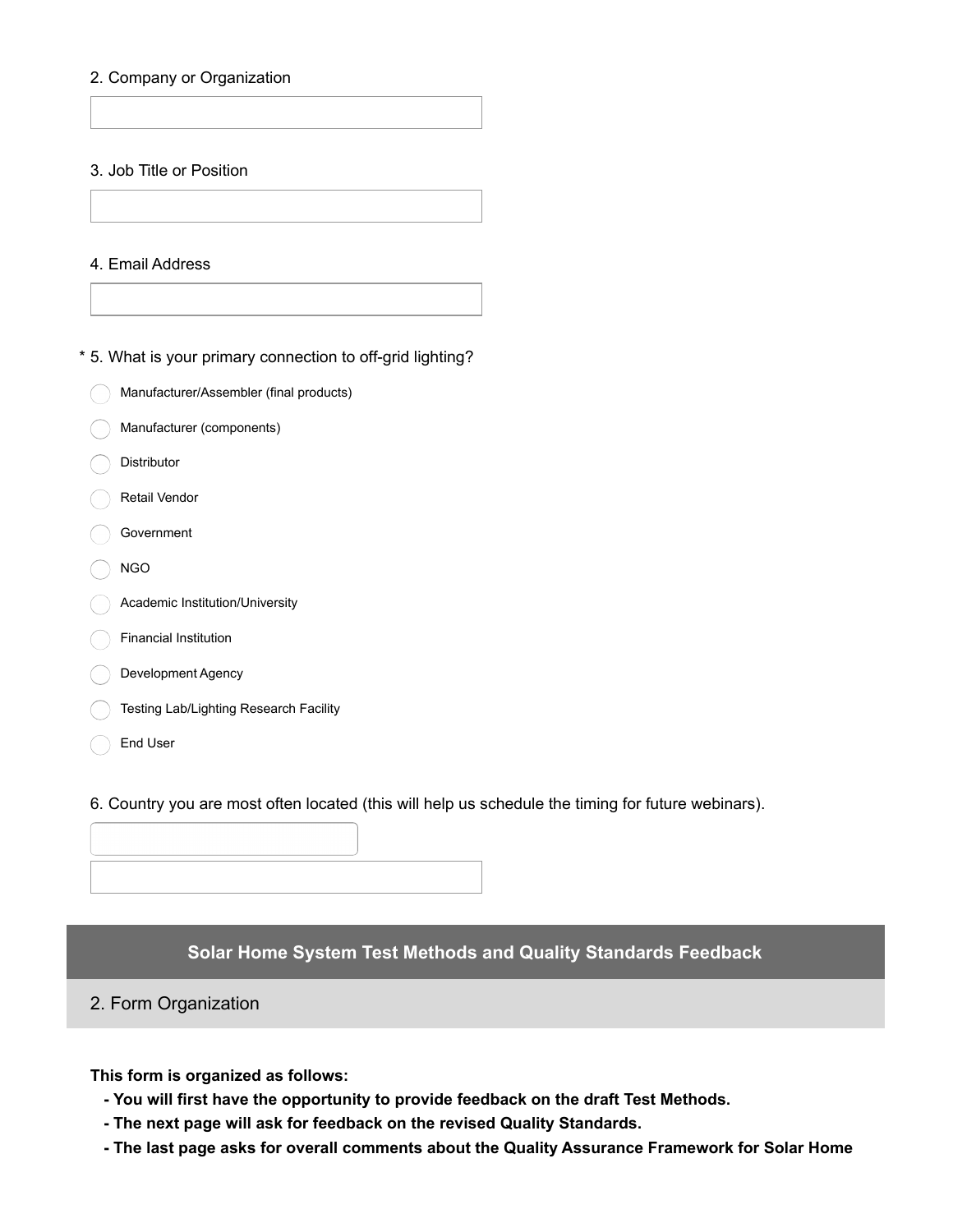### 2. Company or Organization

#### 3. Job Title or Position

#### 4. Email Address

\* 5. What is your primary connection to off-grid lighting?

- Manufacturer/Assembler (final products)
- Manufacturer (components)
- Distributor
- Retail Vendor
- Government
- NGO
- Academic Institution/University
- Financial Institution
- Development Agency
- **Testing Lab/Lighting Research Facility**
- ◯ End User

6. Country you are most often located (this will help us schedule the timing for future webinars).

# **Solar Home System Test Methods and Quality Standards Feedback**

# 2. Form Organization

**This form is organized as follows:**

- **- You will first have the opportunity to provide feedback on the draft Test Methods.**
- **- The next page will ask for feedback on the revised Quality Standards.**
- **- The last page asks for overall comments about the Quality Assurance Framework for Solar Home**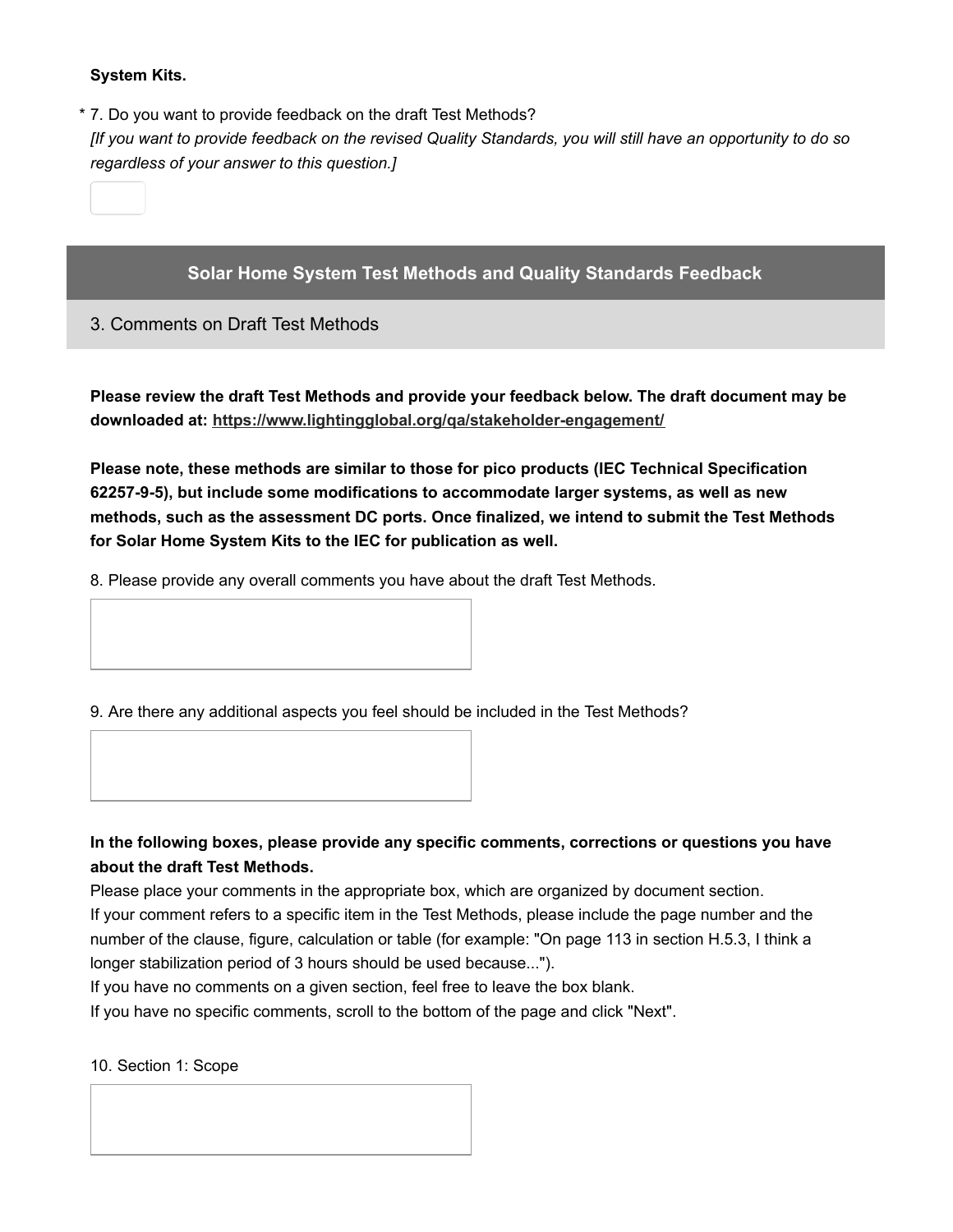## **System Kits.**

7. Do you want to provide feedback on the draft Test Methods? \*

[If you want to provide feedback on the revised Quality Standards, you will still have an opportunity to do so *regardless of your answer to this question.]*

# **Solar Home System Test Methods and Quality Standards Feedback**

3. Comments on Draft Test Methods

**Please review the draft Test Methods and provide your feedback below. The draft document may be downloaded at: <https://www.lightingglobal.org/qa/stakeholder-engagement/>**

**Please note, these methods are similar to those for pico products (IEC Technical Specification 62257-9-5), but include some modifications to accommodate larger systems, as well as new methods, such as the assessment DC ports. Once finalized, we intend to submit the Test Methods for Solar Home System Kits to the IEC for publication as well.**

8. Please provide any overall comments you have about the draft Test Methods.



# **In the following boxes, please provide any specific comments, corrections or questions you have about the draft Test Methods.**

Please place your comments in the appropriate box, which are organized by document section.

If your comment refers to a specific item in the Test Methods, please include the page number and the number of the clause, figure, calculation or table (for example: "On page 113 in section H.5.3, I think a longer stabilization period of 3 hours should be used because...").

If you have no comments on a given section, feel free to leave the box blank.

If you have no specific comments, scroll to the bottom of the page and click "Next".

10. Section 1: Scope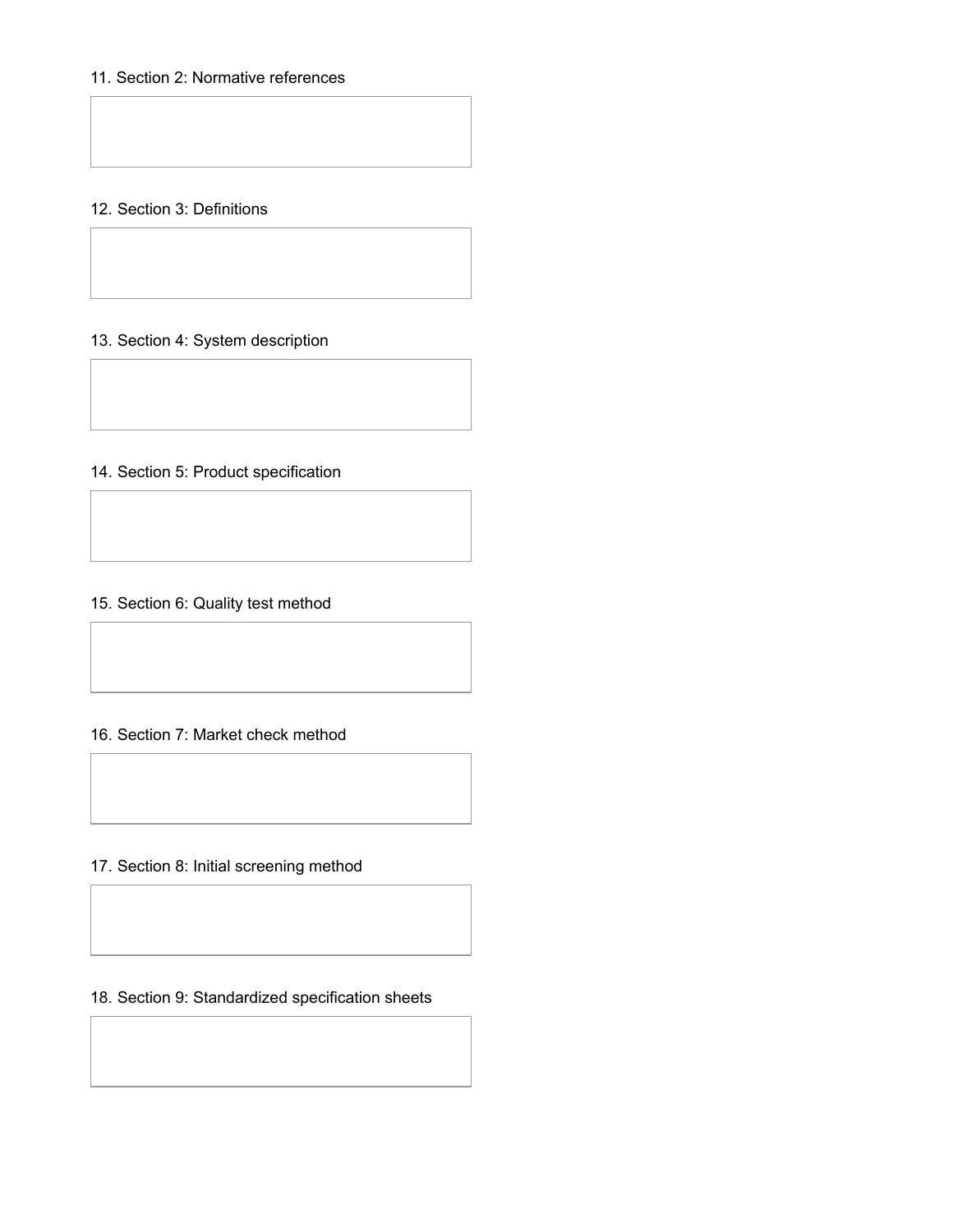# 11. Section 2: Normative references

# 12. Section 3: Definitions

# 13. Section 4: System description

# 14. Section 5: Product specification

### 15. Section 6: Quality test method

#### 16. Section 7: Market check method

17. Section 8: Initial screening method

### 18. Section 9: Standardized specification sheets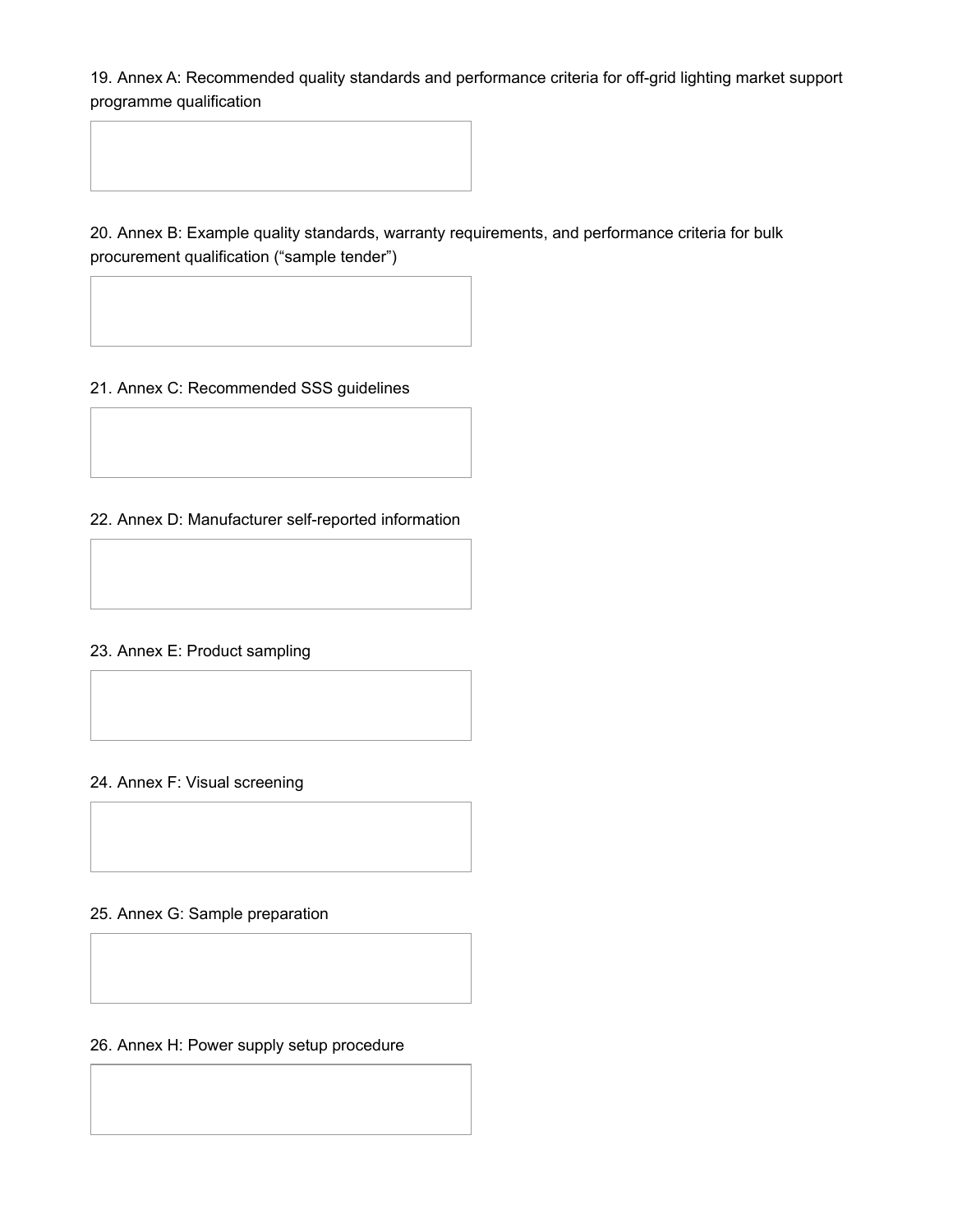19. Annex A: Recommended quality standards and performance criteria for off-grid lighting market support programme qualification

20. Annex B: Example quality standards, warranty requirements, and performance criteria for bulk procurement qualification ("sample tender")

21. Annex C: Recommended SSS guidelines

22. Annex D: Manufacturer self-reported information

# 23. Annex E: Product sampling

### 24. Annex F: Visual screening

### 25. Annex G: Sample preparation

# 26. Annex H: Power supply setup procedure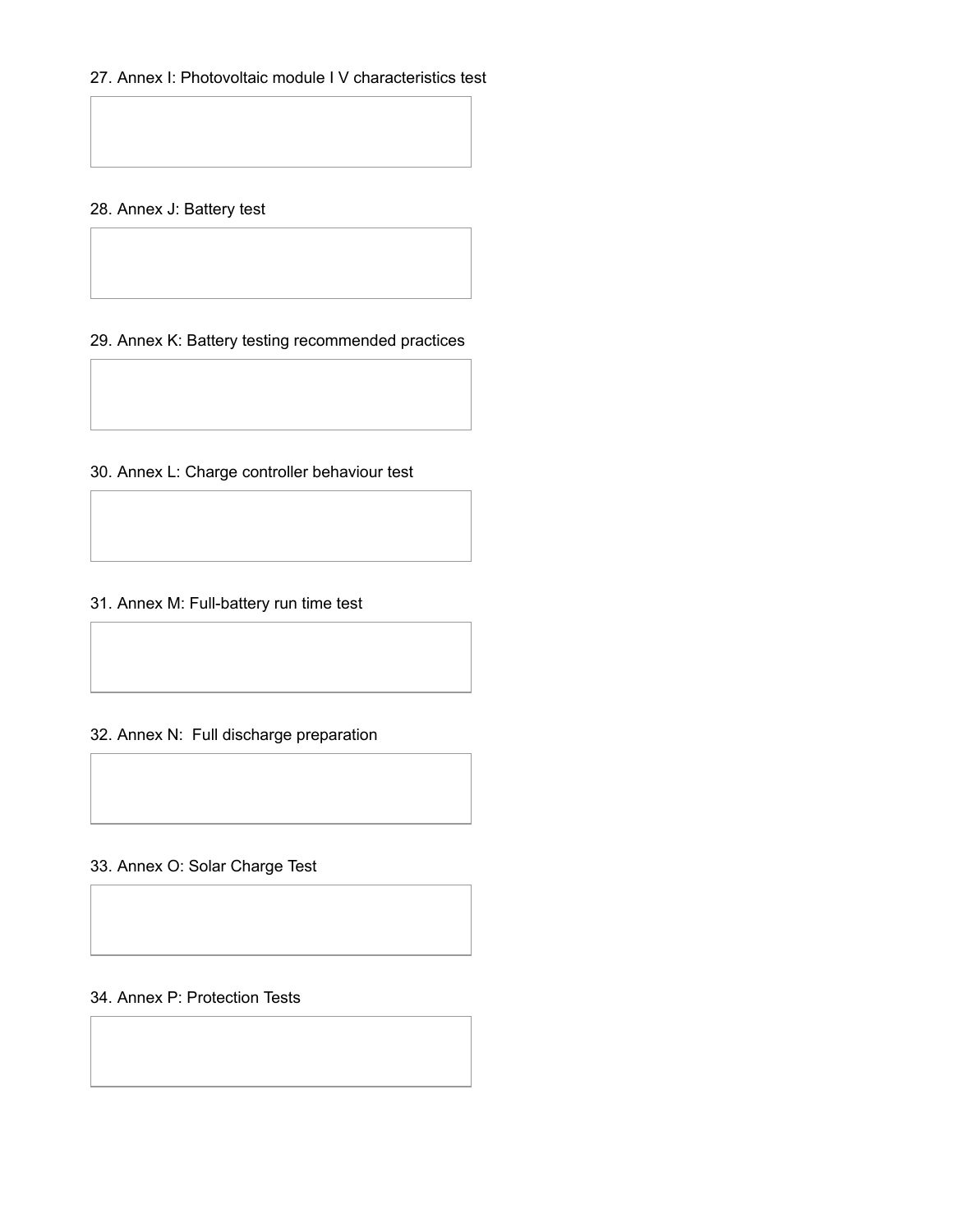# 27. Annex I: Photovoltaic module I V characteristics test

# 28. Annex J: Battery test

29. Annex K: Battery testing recommended practices

30. Annex L: Charge controller behaviour test

31. Annex M: Full-battery run time test

32. Annex N: Full discharge preparation

33. Annex O: Solar Charge Test

# 34. Annex P: Protection Tests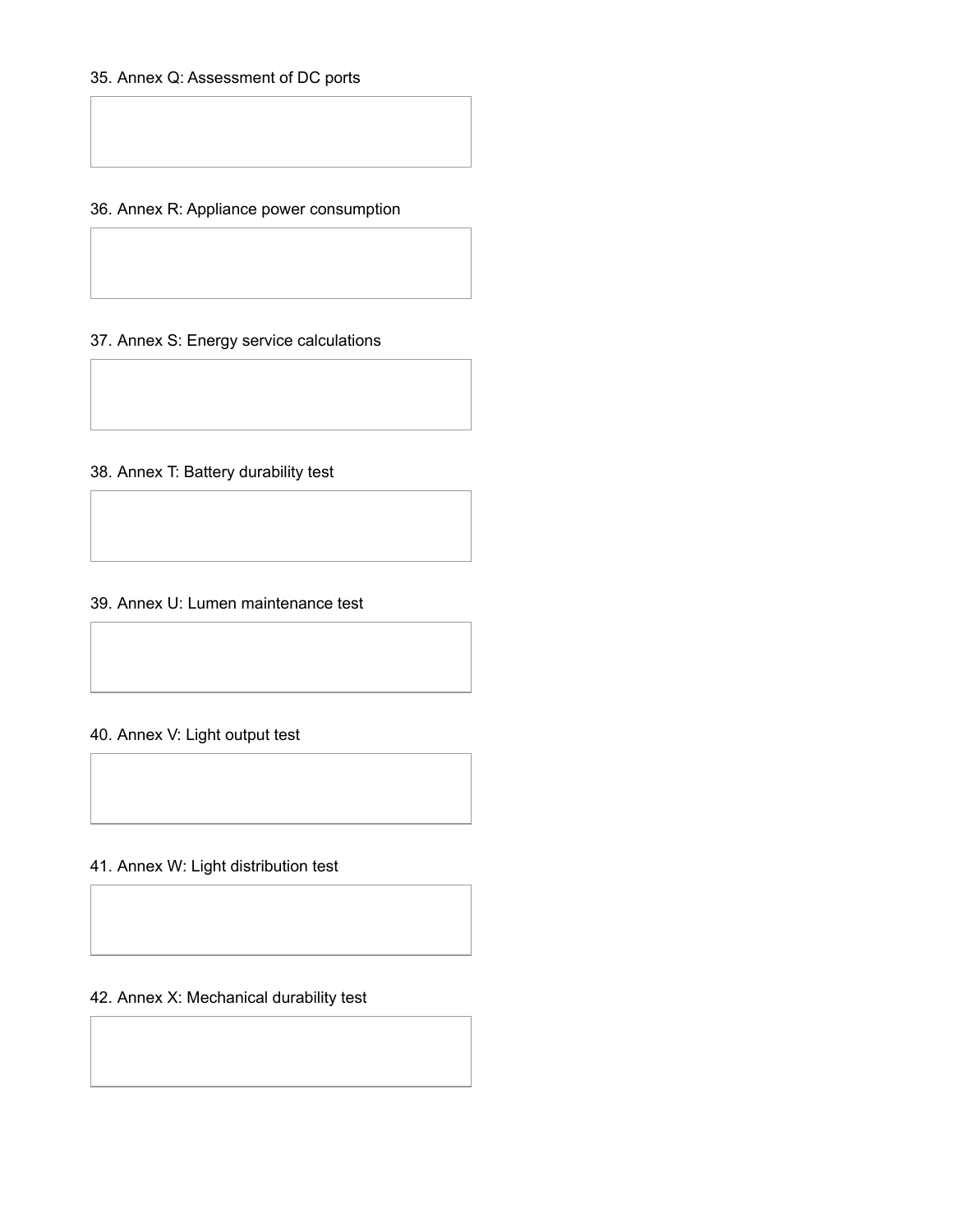36. Annex R: Appliance power consumption

37. Annex S: Energy service calculations

38. Annex T: Battery durability test

39. Annex U: Lumen maintenance test

### 40. Annex V: Light output test

41. Annex W: Light distribution test

42. Annex X: Mechanical durability test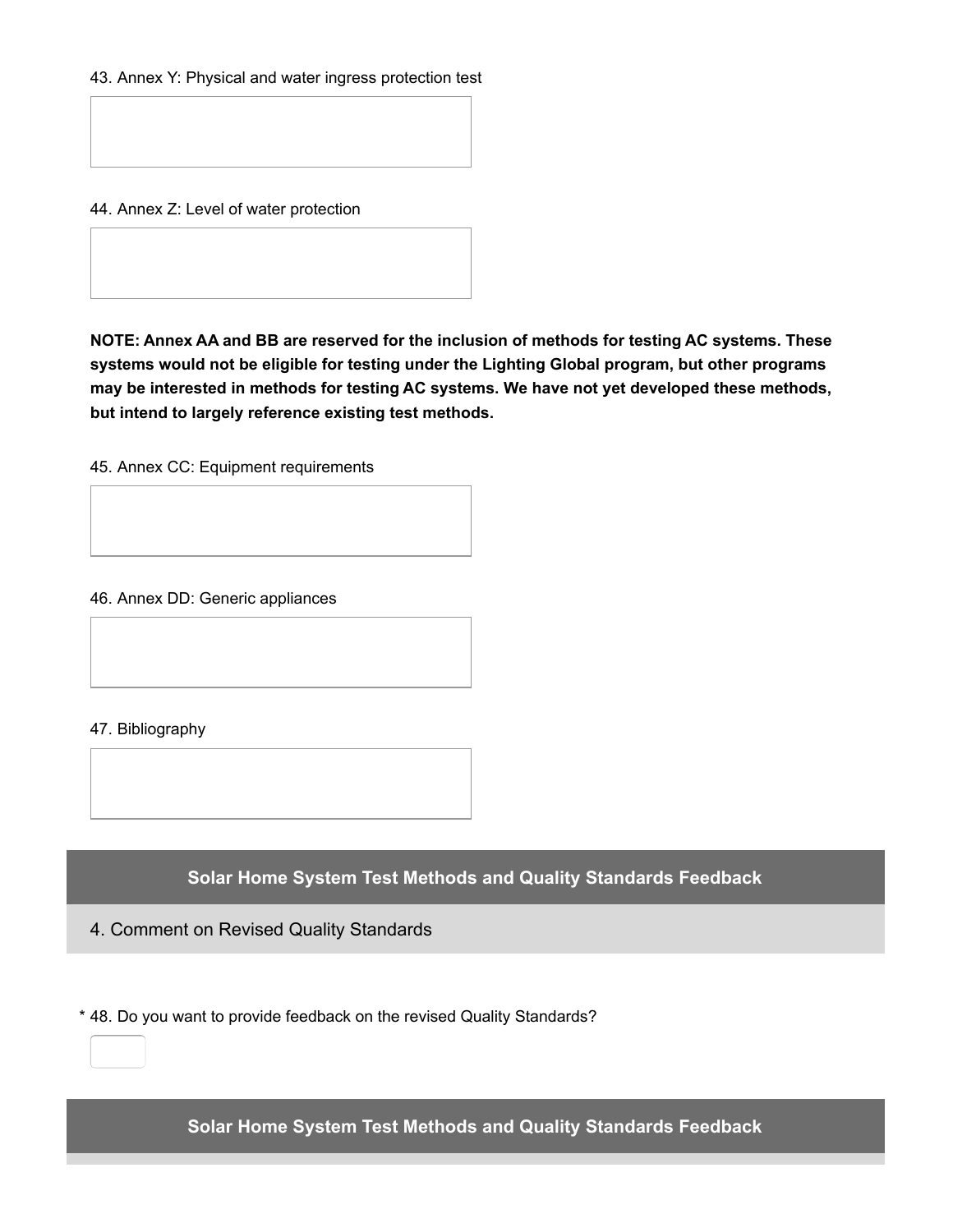43. Annex Y: Physical and water ingress protection test

44. Annex Z: Level of water protection

**NOTE: Annex AA and BB are reserved for the inclusion of methods for testing AC systems. These systems would not be eligible for testing under the Lighting Global program, but other programs may be interested in methods for testing AC systems. We have not yet developed these methods, but intend to largely reference existing test methods.**

45. Annex CC: Equipment requirements

46. Annex DD: Generic appliances

47. Bibliography

**Solar Home System Test Methods and Quality Standards Feedback**

4. Comment on Revised Quality Standards

\* 48. Do you want to provide feedback on the revised Quality Standards?

**Solar Home System Test Methods and Quality Standards Feedback**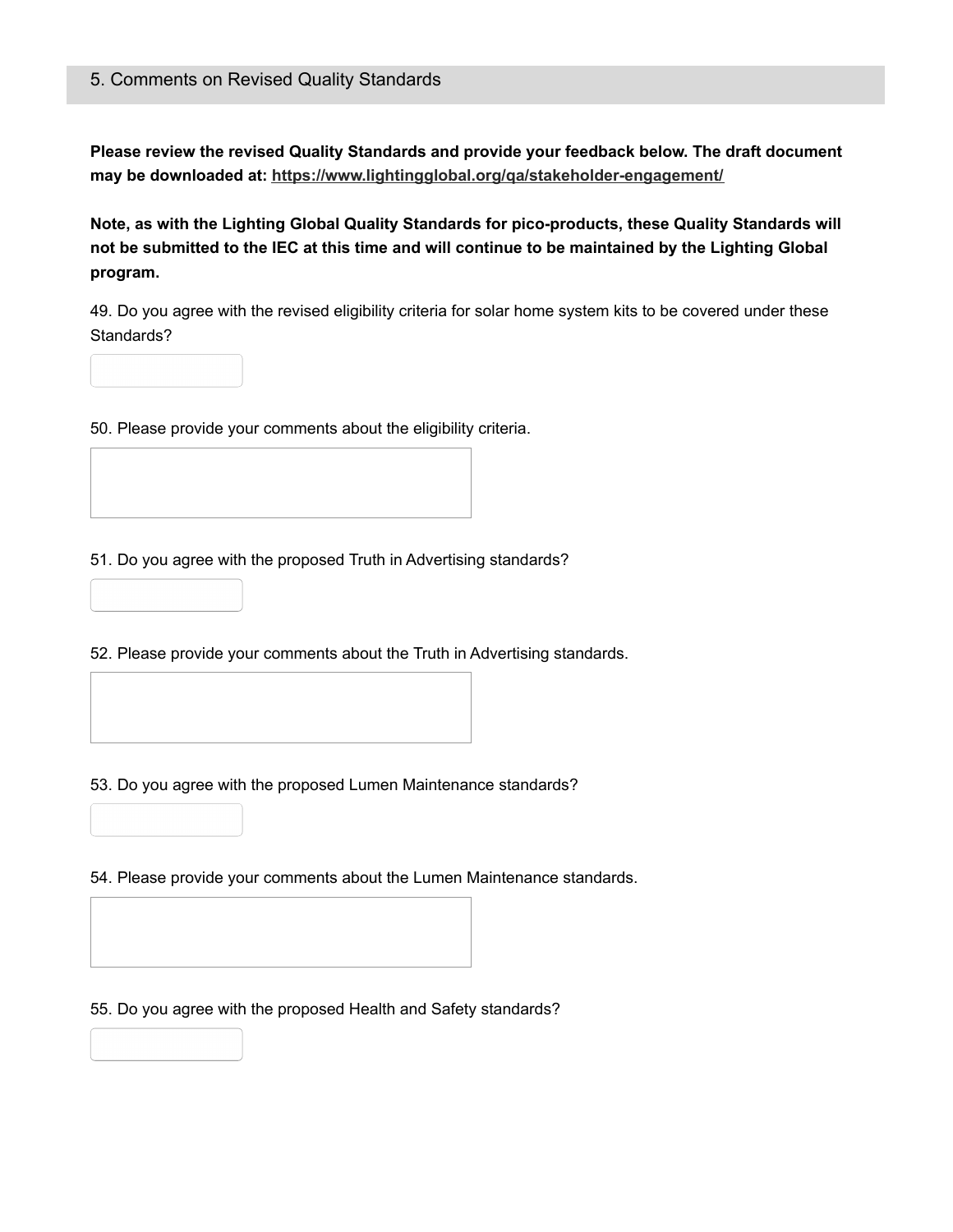**Please review the revised Quality Standards and provide your feedback below. The draft document may be downloaded at: <https://www.lightingglobal.org/qa/stakeholder-engagement/>**

**Note, as with the Lighting Global Quality Standards for pico-products, these Quality Standards will** not be submitted to the IEC at this time and will continue to be maintained by the Lighting Global **program.**

49. Do you agree with the revised eligibility criteria for solar home system kits to be covered under these Standards?

50. Please provide your comments about the eligibility criteria.

51. Do you agree with the proposed Truth in Advertising standards?

52. Please provide your comments about the Truth in Advertising standards.

53. Do you agree with the proposed Lumen Maintenance standards?

54. Please provide your comments about the Lumen Maintenance standards.

55. Do you agree with the proposed Health and Safety standards?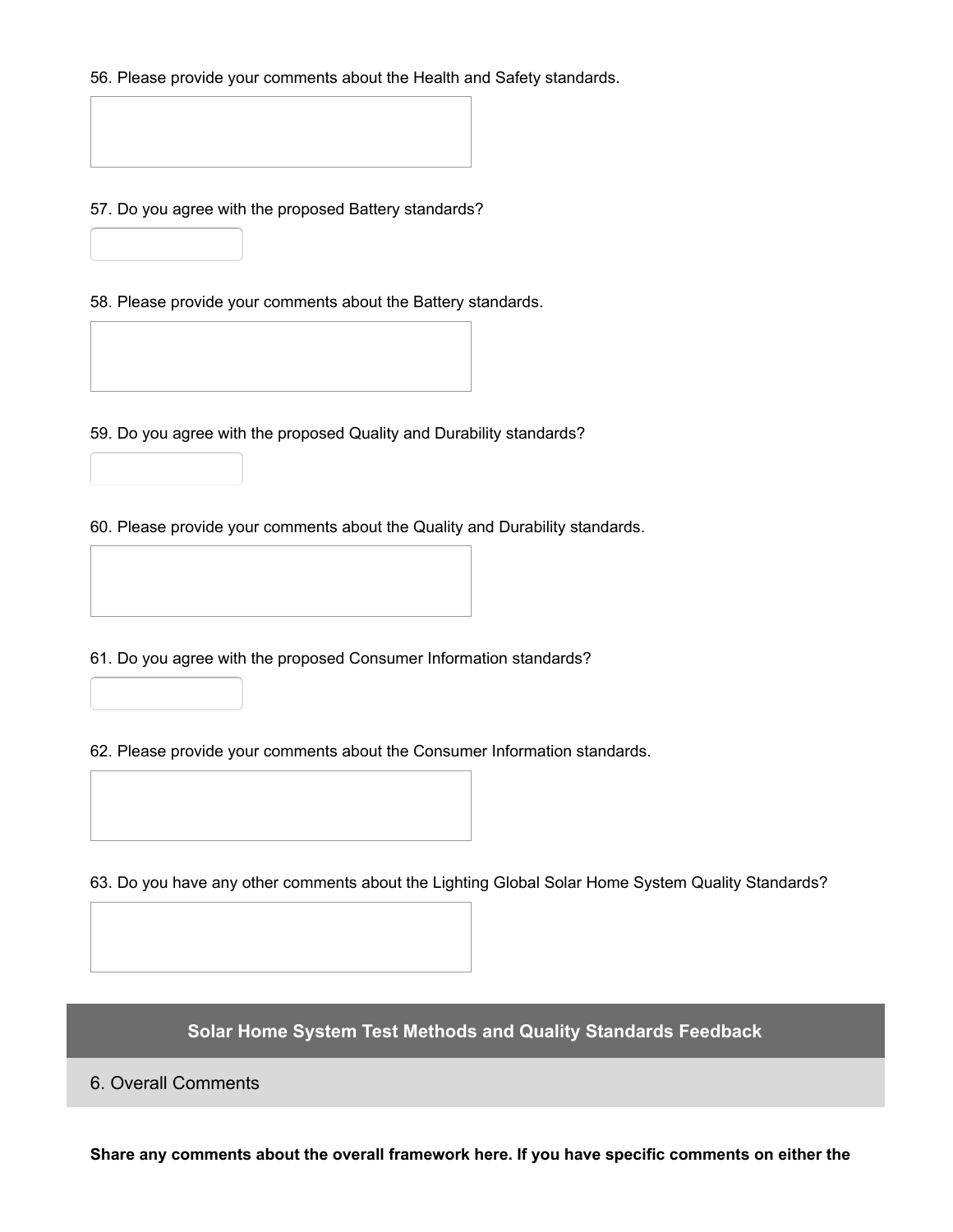56. Please provide your comments about the Health and Safety standards.

57. Do you agree with the proposed Battery standards?

58. Please provide your comments about the Battery standards.

59. Do you agree with the proposed Quality and Durability standards?

60. Please provide your comments about the Quality and Durability standards.



61. Do you agree with the proposed Consumer Information standards?

62. Please provide your comments about the Consumer Information standards.



63. Do you have any other comments about the Lighting Global Solar Home System Quality Standards?

**Solar Home System Test Methods and Quality Standards Feedback**

6. Overall Comments

**Share any comments about the overall framework here. If you have specific comments on either the**